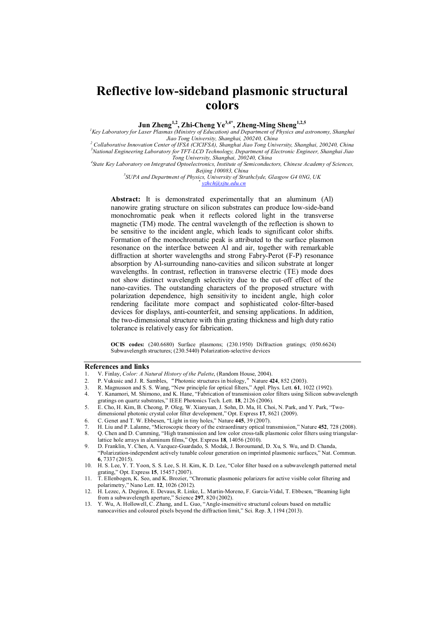# **Reflective low-sideband plasmonic structural colors**

**Jun Zheng1,2 , Zhi-Cheng Ye3,4\* , Zheng-Ming Sheng1,2,5**

*<sup>1</sup>Key Laboratory for Laser Plasmas (Ministry of Education) and Department of Physics and astronomy, Shanghai Jiao Tong University, Shanghai, 200240, China*

*<sup>2</sup> Collaborative Innovation Center of IFSA (CICIFSA), Shanghai Jiao Tong University, Shanghai, 200240, China <sup>3</sup>National Engineering Laboratory for TFT-LCD Technology, Department of Electronic Engineer, Shanghai Jiao Tong University, Shanghai, 200240, China*

*4 State Key Laboratory on Integrated Optoelectronics, Institute of Semiconductors, Chinese Academy of Sciences, Beijing 100083, China*

*5 SUPA and Department of Physics, University of Strathclyde, Glasgow G4 0NG, UK* \* *yzhch@sjtu.edu.cn*

**Abstract:** It is demonstrated experimentally that an aluminum (Al) nanowire grating structure on silicon substrates can produce low-side-band monochromatic peak when it reflects colored light in the transverse magnetic (TM) mode. The central wavelength of the reflection is shown to be sensitive to the incident angle, which leads to significant color shifts. Formation of the monochromatic peak is attributed to the surface plasmon resonance on the interface between Al and air, together with remarkable diffraction at shorter wavelengths and strong Fabry-Perot (F-P) resonance absorption by Al-surrounding nano-cavities and silicon substrate at longer wavelengths. In contrast, reflection in transverse electric (TE) mode does not show distinct wavelength selectivity due to the cut-off effect of the nano-cavities. The outstanding characters of the proposed structure with polarization dependence, high sensitivity to incident angle, high color rendering facilitate more compact and sophisticated color-filter-based devices for displays, anti-counterfeit, and sensing applications. In addition, the two-dimensional structure with thin grating thickness and high duty ratio tolerance is relatively easy for fabrication.

**OCIS codes:** (240.6680) Surface plasmons; (230.1950) Diffraction gratings; (050.6624) Subwavelength structures; (230.5440) Polarization-selective devices

## **References and links**

- 1. V. Finlay, *Color: A Natural History of the Palette*, (Random House, 2004).
- 2. P. Vukusic and J. R. Sambles, "Photonic structures in biology,"Nature **424**, 852 (2003).
- 3. R. Magnusson and S. S. Wang, "New principle for optical filters," Appl. Phys. Lett. **61**, 1022 (1992).
- 4. Y. Kanamori, M. Shimono, and K. Hane, "Fabrication of transmission color filters using Silicon subwavelength gratings on quartz substrates," IEEE Photonics Tech. Lett. **18**, 2126 (2006).
- 5. E. Cho, H. Kim, B. Cheong, P. Oleg, W. Xianyuan, J. Sohn, D. Ma, H. Choi, N. Park, and Y. Park, "Twodimensional photonic crystal color filter development," Opt. Express **17**, 8621 (2009).
- 6. C. Genet and T. W. Ebbesen, "Light in tiny holes," Nature **445**, 39 (2007).
- 7. H. Liu and P. Lalanne, "Microscopic theory of the extraordinary optical transmission," Nature **452**, 728 (2008).
- 8. Q. Chen and D. Cumming, "High transmission and low color cross-talk plasmonic color filters using triangularlattice hole arrays in aluminum films," Opt. Express **18**, 14056 (2010).
- 9. D. Franklin, Y. Chen, A. Vazquez-Guardado, S. Modak, J. Boroumand, D. Xu, S. Wu, and D. Chanda, "Polarization-independent actively tunable colour generation on imprinted plasmonic surfaces," Nat. Commun. **6**, 7337 (2015).
- 10. H. S. Lee, Y. T. Yoon, S. S. Lee, S. H. Kim, K. D. Lee, "Color filter based on a subwavelength patterned metal grating," Opt. Express **15**, 15457 (2007).
- 11. T. Ellenbogen, K. Seo, and K. Brozier, "Chromatic plasmonic polarizers for active visible color filtering and polarimetry," Nano Lett. **12**, 1026 (2012).
- 12. H. Lezec, A. Degiron, E. Devaus, R. Linke, L. Martin-Moreno, F. Garcia-Vidal, T. Ebbesen, "Beaming light from a subwavelength aperture," Science **297**, 820 (2002).
- 13. Y. Wu, A. Hollowell, C. Zhang, and L. Guo, "Angle-insensitive structural colours based on metallic nanocavities and coloured pixels beyond the diffraction limit," Sci. Rep. **3**, 1194 (2013).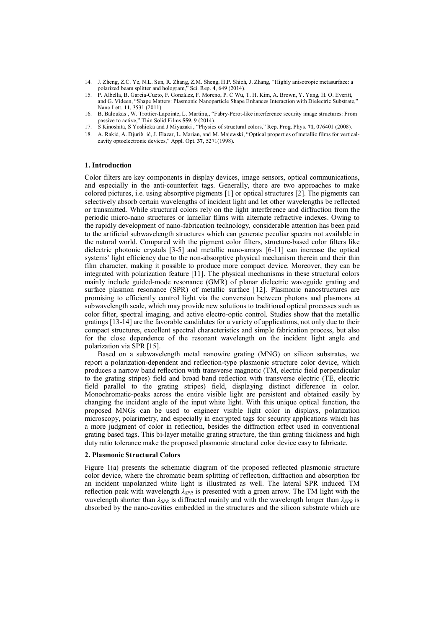- 14. J. Zheng, Z.C. Ye, N.L. Sun, R. Zhang, Z.M. Sheng, H.P. Shieh, J. Zhang, "Highly anisotropic metasurface: a polarized beam splitter and hologram," Sci. Rep. **4**, 649 (2014).
- 15. P. Albella, B. Garcia-Cueto, F. González, F. Moreno, P. C Wu, T. H. Kim, A. Brown, Y. Yang, H. O. Everitt, and G. Videen, "Shape Matters: Plasmonic Nanoparticle Shape Enhances Interaction with Dielectric Substrate," Nano Lett. **11**, 3531 (2011).
- 16. B. Baloukas , W. Trottier-Lapointe, L. Martinu,, "Fabry-Perot-like interference security image structures: From passive to active," Thin Solid Films **559**, 9 (2014).
- 17. S Kinoshita, S Yoshioka and J Miyazaki , "Physics of structural colors," Rep. Prog. Phys. **71**, 076401 (2008).
- 18. A. Rakić, A. Djuriš ić, J. Elazar, L. Marian, and M. Majewski, "Optical properties of metallic films for verticalcavity optoelectronic devices," Appl. Opt. **37**, 5271(1998).

## **1. Introduction**

Color filters are key components in display devices, image sensors, optical communications, and especially in the anti-counterfeit tags. Generally, there are two approaches to make colored pictures, i.e. using absorptive pigments [1] or optical structures [2]. The pigments can selectively absorb certain wavelengths of incident light and let other wavelengths be reflected or transmitted. While structural colors rely on the light interference and diffraction from the periodic micro-nano structures or lamellar films with alternate refractive indexes. Owing to the rapidly development of nano-fabrication technology, considerable attention has been paid to the artificial subwavelength structures which can generate peculiar spectra not available in the natural world. Compared with the pigment color filters, structure-based color filters like dielectric photonic crystals [3-5] and metallic nano-arrays [6-11] can increase the optical systems' light efficiency due to the non-absorptive physical mechanism therein and their thin film character, making it possible to produce more compact device. Moreover, they can be integrated with polarization feature [11]. The physical mechanisms in these structural colors mainly include guided-mode resonance (GMR) of planar dielectric waveguide grating and surface plasmon resonance (SPR) of metallic surface [12]. Plasmonic nanostructures are promising to efficiently control light via the conversion between photons and plasmons at subwavelength scale, which may provide new solutions to traditional optical processes such as color filter, spectral imaging, and active electro-optic control. Studies show that the metallic gratings [13-14] are the favorable candidates for a variety of applications, not only due to their compact structures, excellent spectral characteristics and simple fabrication process, but also for the close dependence of the resonant wavelength on the incident light angle and polarization via SPR [15].

Based on a subwavelength metal nanowire grating (MNG) on silicon substrates, we report a polarization-dependent and reflection-type plasmonic structure color device, which produces a narrow band reflection with transverse magnetic (TM, electric field perpendicular to the grating stripes) field and broad band reflection with transverse electric (TE, electric field parallel to the grating stripes) field, displaying distinct difference in color. Monochromatic-peaks across the entire visible light are persistent and obtained easily by changing the incident angle of the input white light. With this unique optical function, the proposed MNGs can be used to engineer visible light color in displays, polarization microscopy, polarimetry, and especially in encrypted tags for security applications which has a more judgment of color in reflection, besides the diffraction effect used in conventional grating based tags. This bi-layer metallic grating structure, the thin grating thickness and high duty ratio tolerance make the proposed plasmonic structural color device easy to fabricate.

# **2. Plasmonic Structural Colors**

Figure 1(a) presents the schematic diagram of the proposed reflected plasmonic structure color device, where the chromatic beam splitting of reflection, diffraction and absorption for an incident unpolarized white light is illustrated as well. The lateral SPR induced TM reflection peak with wavelength *λSPR* is presented with a green arrow. The TM light with the wavelength shorter than *λSPR* is diffracted mainly and with the wavelength longer than *λSPR* is absorbed by the nano-cavities embedded in the structures and the silicon substrate which are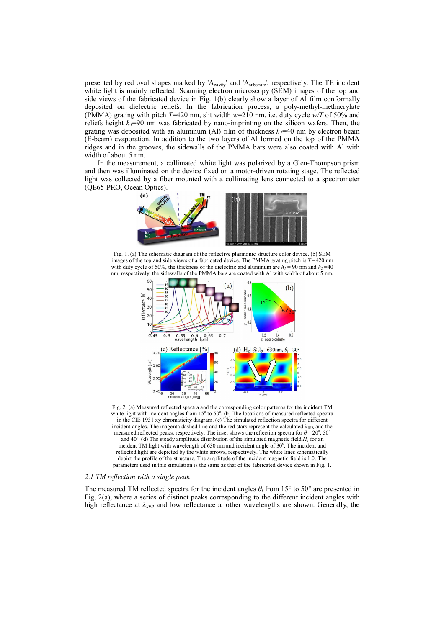presented by red oval shapes marked by 'A<sub>cavity</sub>' and 'A<sub>substrate</sub>', respectively. The TE incident white light is mainly reflected. Scanning electron microscopy (SEM) images of the top and side views of the fabricated device in Fig. 1(b) clearly show a layer of Al film conformally deposited on dielectric reliefs. In the fabrication process, a poly-methyl-methacrylate (PMMA) grating with pitch *T*=420 nm, slit width *w*=210 nm, i.e. duty cycle *w/T* of 50% and reliefs height  $h_1=90$  nm was fabricated by nano-imprinting on the silicon wafers. Then, the grating was deposited with an aluminum (Al) film of thickness  $h_2$ =40 nm by electron beam (E-beam) evaporation. In addition to the two layers of Al formed on the top of the PMMA ridges and in the grooves, the sidewalls of the PMMA bars were also coated with Al with width of about 5 nm.

In the measurement, a collimated white light was polarized by a Glen-Thompson prism and then was illuminated on the device fixed on a motor-driven rotating stage. The reflected light was collected by a fiber mounted with a collimating lens connected to a spectrometer (QE65-PRO, Ocean Optics).



Fig. 1. (a) The schematic diagram of the reflective plasmonic structure color device. (b) SEM images of the top and side views of a fabricated device. The PMMA grating pitch is *T* =420 nm with duty cycle of 50%, the thickness of the dielectric and aluminum are  $h<sub>l</sub> = 90$  nm and  $h<sub>2</sub> = 40$ nm, respectively, the sidewalls of the PMMA bars are coated with Al with width of about 5 nm.



Fig. 2. (a) Measured reflected spectra and the corresponding color patterns for the incident TM white light with incident angles from  $15^{\circ}$  to  $50^{\circ}$ . (b) The locations of measured reflected spectra in the CIE 1931 xy chromaticity diagram. (c) The simulated reflection spectra for different incident angles. The magenta dashed line and the red stars represent the calculated  $\lambda_{\rm SPR}$  and the measured reflected peaks, respectively. The inset shows the reflection spectra for  $\theta$ <sup>*i*= 20°, 30°</sup> and  $40^\circ$ . (d) The steady amplitude distribution of the simulated magnetic field  $H_z$  for an incident TM light with wavelength of  $630$  nm and incident angle of  $30^\circ$ . The incident and reflected light are depicted by the white arrows, respectively. The white lines schematically depict the profile of the structure. The amplitude of the incident magnetic field is 1.0. The parameters used in this simulation is the same as that of the fabricated device shown in Fig. 1.

### *2.1 TM reflection with a single peak*

The measured TM reflected spectra for the incident angles  $\theta_i$  from 15° to 50° are presented in Fig. 2(a), where a series of distinct peaks corresponding to the different incident angles with high reflectance at *λSPR* and low reflectance at other wavelengths are shown. Generally, the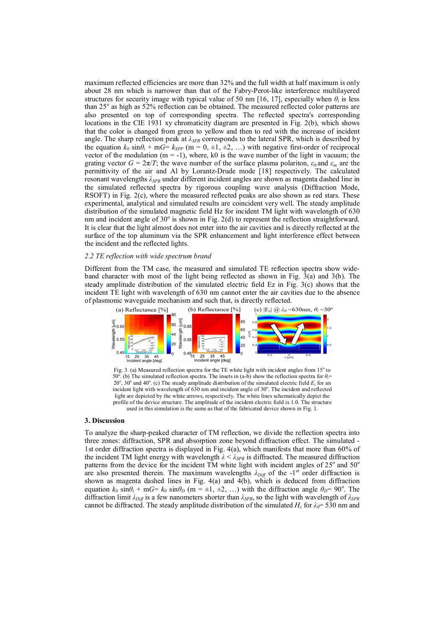maximum reflected efficiencies are more than 32% and the full width at half maximum is only about 28 nm which is narrower than that of the Fabry-Perot-like interference multilayered structures for security image with typical value of 50 nm [16, 17], especially when  $\theta_i$  is less than 25° as high as 52% reflection can be obtained. The measured reflected color patterns are also presented on top of corresponding spectra. The reflected spectra's corresponding locations in the CIE 1931 xy chromaticity diagram are presented in Fig. 2(b), which shows that the color is changed from green to yellow and then to red with the increase of incident angle. The sharp reflection peak at *λSPR* corresponds to the lateral SPR, which is described by the equation  $k_0 \sin\theta_i + mG = k_{SPP}$  (m = 0, ±1, ±2, ...) with negative first-order of reciprocal vector of the modulation  $(m = -1)$ , where, k0 is the wave number of the light in vacuum; the grating vector  $G = 2\pi/T$ ; the wave number of the surface plasma polariton,  $\varepsilon_0$  and  $\varepsilon_m$  are the permittivity of the air and Al by Lorantz-Drude mode [18] respectively. The calculated resonant wavelengths *λSPR* under different incident angles are shown as magenta dashed line in the simulated reflected spectra by rigorous coupling wave analysis (Diffraction Mode, RSOFT) in Fig. 2(c), where the measured reflected peaks are also shown as red stars. These experimental, analytical and simulated results are coincident very well. The steady amplitude distribution of the simulated magnetic field Hz for incident TM light with wavelength of 630 nm and incident angle of  $30^{\circ}$  is shown in Fig. 2(d) to represent the reflection straightforward. It is clear that the light almost does not enter into the air cavities and is directly reflected at the surface of the top aluminum via the SPR enhancement and light interference effect between the incident and the reflected lights.

# *2.2 TE reflection with wide spectrum brand*

Different from the TM case, the measured and simulated TE reflection spectra show wideband character with most of the light being reflected as shown in Fig.  $3(a)$  and  $3(b)$ . The steady amplitude distribution of the simulated electric field Ez in Fig. 3(c) shows that the incident TE light with wavelength of 630 nm cannot enter the air cavities due to the absence of plasmonic waveguide mechanism and such that, is directly reflected.



Fig. 3. (a) Measured reflection spectra for the TE white light with incident angles from  $15^\circ$  to 50<sup>o</sup>. (b) The simulated reflection spectra. The insets in (a-b) show the reflection spectra for  $\theta_i$ = 20°,  $30^\circ$  and 40°. (c) The steady amplitude distribution of the simulated electric field  $E_z$  for an incident light with wavelength of  $630$  nm and incident angle of  $30^\circ$ . The incident and reflected light are depicted by the white arrows, respectively. The white lines schematically depict the profile of the device structure. The amplitude of the incident electric field is 1.0. The structure used in this simulation is the same as that of the fabricated device shown in Fig. 1.

## **3. Discussion**

To analyze the sharp-peaked character of TM reflection, we divide the reflection spectra into three zones: diffraction, SPR and absorption zone beyond diffraction effect. The simulated - 1st order diffraction spectra is displayed in Fig. 4(a), which manifests that more than 60% of the incident TM light energy with wavelength  $\lambda < \lambda_{SPR}$  is diffracted. The measured diffraction patterns from the device for the incident TM white light with incident angles of  $25^{\circ}$  and  $50^{\circ}$ are also presented therein. The maximum wavelengths  $\lambda_{Diff}$  of the -1<sup>st</sup> order diffraction is shown as magenta dashed lines in Fig. 4(a) and 4(b), which is deduced from diffraction equation  $k_0 \sin\theta_i + \text{m}G = k_0 \sin\theta_D$  (m = ±1, ±2, ...) with the diffraction angle  $\theta_D = 90^\circ$ . The diffraction limit *λDiff* is a few nanometers shorter than *λSPR*, so the light with wavelength of *λSPR* cannot be diffracted. The steady amplitude distribution of the simulated  $H_z$  for  $\lambda_0 = 530$  nm and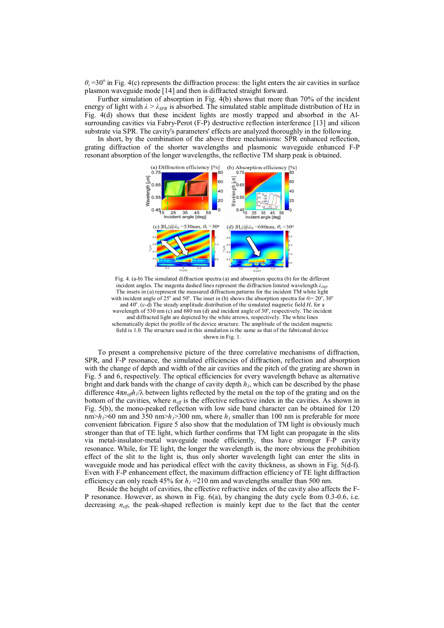$\theta$ <sup>*i*</sup> =30<sup>o</sup> in Fig. 4(c) represents the diffraction process: the light enters the air cavities in surface plasmon waveguide mode [14] and then is diffracted straight forward.

Further simulation of absorption in Fig. 4(b) shows that more than 70% of the incident energy of light with  $\lambda > \lambda_{SPR}$  is absorbed. The simulated stable amplitude distribution of Hz in Fig. 4(d) shows that these incident lights are mostly trapped and absorbed in the Alsurrounding cavities via Fabry-Perot (F-P) destructive reflection interference [13] and silicon substrate via SPR. The cavity's parameters' effects are analyzed thoroughly in the following.

In short, by the combination of the above three mechanisms: SPR enhanced reflection, grating diffraction of the shorter wavelengths and plasmonic waveguide enhanced F-P



Fig. 4. (a-b) The simulated diffraction spectra (a) and absorption spectra (b) for the different incident angles. The magenta dashed lines represent the diffraction limited wavelength *λDiff*. The insets in (a) represent the measured diffraction patterns for the incident TM white light with incident angle of 25° and 50°. The inset in (b) shows the absorption spectra for  $\theta = 20^{\circ}$ , 30° and  $40^\circ$ . (c-d) The steady amplitude distribution of the simulated magnetic field  $H_z$  for a wavelength of 530 nm (c) and  $680$  nm (d) and incident angle of  $30^\circ$ , respectively. The incident and diffracted light are depicted by the white arrows, respectively. The white lines schematically depict the profile of the device structure. The amplitude of the incident magnetic field is 1.0. The structure used in this simulation is the same as that of the fabricated device shown in Fig. 1.

To present a comprehensive picture of the three correlative mechanisms of diffraction, SPR, and F-P resonance, the simulated efficiencies of diffraction, reflection and absorption with the change of depth and width of the air cavities and the pitch of the grating are shown in Fig. 5 and 6, respectively. The optical efficiencies for every wavelength behave as alternative bright and dark bands with the change of cavity depth *h1*, which can be described by the phase difference 4π*neffh1*/λ between lights reflected by the metal on the top of the grating and on the bottom of the cavities, where  $n_{\text{eff}}$  is the effective refractive index in the cavities. As shown in Fig. 5(b), the mono-peaked reflection with low side band character can be obtained for 120 nm $\geq h_l$  $\geq$ 60 nm and 350 nm $\geq h_l$  $\geq$ 300 nm, where  $h_l$  smaller than 100 nm is preferable for more convenient fabrication. Figure 5 also show that the modulation of TM light is obviously much stronger than that of TE light, which further confirms that TM light can propagate in the slits via metal-insulator-metal waveguide mode efficiently, thus have stronger F-P cavity resonance. While, for TE light, the longer the wavelength is, the more obvious the prohibition effect of the slit to the light is, thus only shorter wavelength light can enter the slits in waveguide mode and has periodical effect with the cavity thickness, as shown in Fig. 5(d-f). Even with F-P enhancement effect, the maximum diffraction efficiency of TE light diffraction efficiency can only reach 45% for  $h_1$  =210 nm and wavelengths smaller than 500 nm.

Beside the height of cavities, the effective refractive index of the cavity also affects the F-P resonance. However, as shown in Fig. 6(a), by changing the duty cycle from 0.3-0.6, i.e. decreasing *neff*, the peak-shaped reflection is mainly kept due to the fact that the center